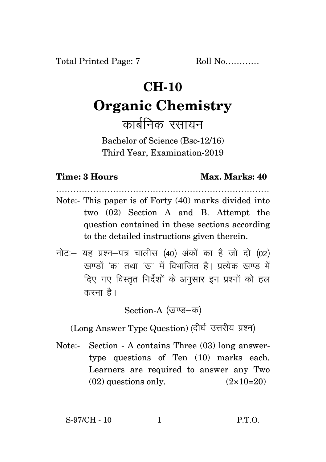## **CH-10**

# **Organic Chemistry**

कार्बनिक रसायन

Bachelor of Science (Bsc-12/16) Third Year, Examination-2019

### **Time: 3 Hours Max. Marks: 40**

Note:- This paper is of Forty (40) marks divided into two (02) Section A and B. Attempt the question contained in these sections according to the detailed instructions given therein.

…………………………………………………………………

 $\vec{\eta}$ नोटः– यह प्रश्न–पत्र चालीस (40) अंकों का है जो दो (02) खण्डों 'क' तथा 'ख' में विभाजित है। प्रत्येक खण्ड में दिए गए विस्तृत निर्देशों के अनुसार इन प्रश्नों को हल करना $\hat{g}$ ।

Section-A (खण्ड–क)

(Long Answer Type Question) (दीर्घ उत्तरीय प्रश्न)

Note:- Section - A contains Three (03) long answertype questions of Ten (10) marks each. Learners are required to answer any Two  $(02)$  questions only.  $(2 \times 10=20)$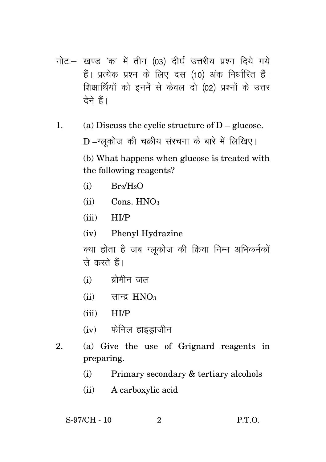- नोट:- खण्ड 'क' में तीन (03) दीर्घ उत्तरीय प्रश्न दिये गये हैं। प्रत्येक प्रश्न के लिए दस (10) अंक निर्धारित हैं। शिक्षार्थियों को इनमें से केवल दो (02) प्रश्नों के उत्तर देने हैं।
- (a) Discuss the cyclic structure of  $D -$  glucose.  $\mathbf{1}$ . D-ग्लुकोज की चक्रीय संरचना के बारे में लिखिए। (b) What happens when glucose is treated with the following reagents?
	- $Br<sub>2</sub>/H<sub>2</sub>O$  $(i)$
	- $(iii)$  Cons.  $HNO<sub>3</sub>$
	- $(iii)$  HI/P
	- (iv) Phenyl Hydrazine

क्या होता है जब ग्लकोज की क्रिया निम्न अभिकर्मकों से करते हैं।

- $(i)$  ब्रोमीन जल
- $(ii)$  सान्द्र  $HNO<sub>3</sub>$
- $(iii)$  HI/P
- $(iv)$  फेनिल हाइड्राजीन
- (a) Give the use of Grignard reagents in 2. preparing.
	- Primary secondary & tertiary alcohols  $(i)$
	- A carboxylic acid  $(ii)$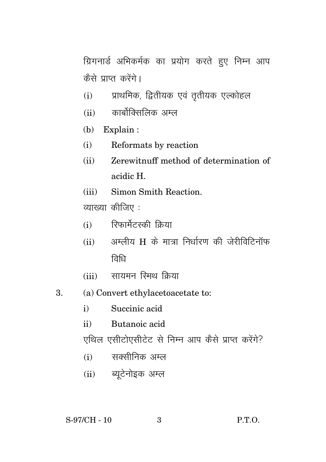ग्रिगनार्ड अभिकर्मक का प्रयोग करते हुए निम्न आप कैसे पाप्त करेंगे।

- प्राथमिक, द्वितीयक एवं तृतीयक एल्कोहल  $(i)$
- कार्बोक्सिकिक अम्ल  $(ii)$
- $(b)$  Explain:
- $(i)$ Reformats by reaction
- Zerewitnuff method of determination of  $(ii)$ acidic H
- (iii) Simon Smith Reaction.

व्याख्या कीजिए :

- (i) रिफार्मेटस्की क्रिया
- (ii) अम्लीय H के मात्रा निर्धारण की जेरीविटिनॉफ तिधि
- सायमन रिमथ किया  $(iii)$
- (a) Convert ethylacetoacetate to:  $\mathbf{R}$ 
	- $i)$ Succinic acid
	- Butanoic acid  $\mathbf{ii}$

एथिल एसीटोएसीटेट से निम्न आप कैसे प्राप्त करेंगे?

- (i) सक्सीनिक अम्ल
- (ii) ब्यूटेनोइक अम्ल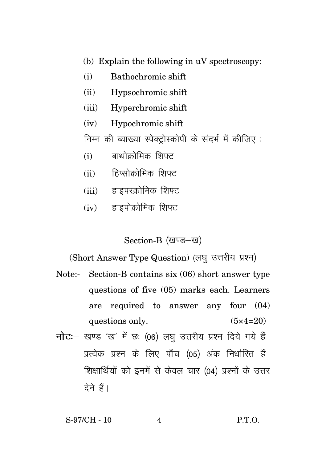- (b) Explain the following in uV spectroscopy:
- (i) Bathochromic shift
- (ii) Hypsochromic shift
- (iii) Hyperchromic shift
- (iv) Hypochromic shift

निम्न की व्याख्या स्पेक्टोस्कोपी के संदर्भ में कीजिए :

- $(i)$  बाथोक्रोमिक शिफ्ट
- (ii) हिप्सोक्रोमिक शिफ्ट
- $(iii)$  हाइपरक्रोमिक शिफ्ट
- $(iv)$  हाइपोक्रोमिक शिफ्ट

Section-B (खण्ड-ख)

(Short Answer Type Question) (लघु उत्तरीय प्रश्न)

- Note:- Section-B contains six (06) short answer type questions of five (05) marks each. Learners are required to answer any four (04) questions only.  $(5 \times 4=20)$
- **नोट**: खण्ड 'ख' में छः (06) लघु उत्तरीय प्रश्न दिये गये हैं। प्रत्येक प्रश्न के लिए पाँच (05) अंक निर्धारित हैं। शिक्षार्थियों को इनमें से केवल चार (04) प्रश्नों के उत्तर देने हैं।

### S-97/CH - 10 4 P.T.O.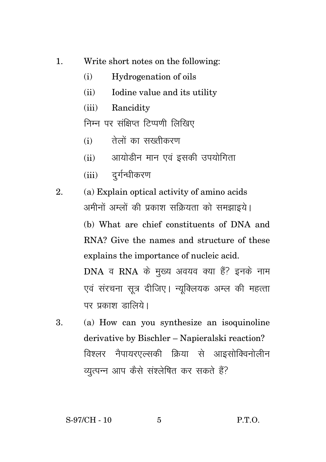- 1. Write short notes on the following:
	- (i) Hydrogenation of oils
	- (ii) Iodine value and its utility
	- (iii) Rancidity

निम्न पर संक्षिप्त टिप्पणी लिखिए

- $(i)$  तेलों का सख्तीकरण
- $(ii)$  अायोडीन मान एवं इसकी उपयोगिता
- $(iii)$  दर्गन्धीकरण
- 2. (a) Explain optical activity of amino acids अमीनों अम्लों की प्रकाश सक्रियता को समझाइये।

(b) What are chief constituents of DNA and RNA? Give the names and structure of these explains the importance of nucleic acid.

DNA व RNA के मुख्य अवयव क्या हैं? इनके नाम एवं संरचना सत्र दीजिए। न्युक्लियक अम्ल की महत्ता पर प्रकाश ज्ञालिये।

3. (a) How can you synthesize an isoquinoline derivative by Bischler – Napieralski reaction? विश्लर नैपायरएल्सकी क्रिया से आइसोक्विनोलीन व्युत्पन्न आप कैसे संश्लेषित कर सकते हैं?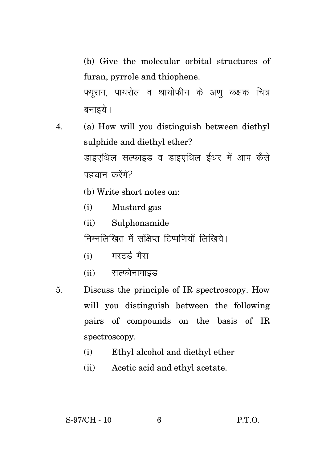(b) Give the molecular orbital structures of furan, pyrrole and thiophene.

फ्युरान, पायरोल व थायोफीन के अणु कक्षक चित्र बनाइये।

- 4. (a) How will you distinguish between diethyl sulphide and diethyl ether? डाइएथिल सल्फाइड व डाइएथिल ईथर में आप कैसे पहचान करेंगे?
	- (b) Write short notes on:
	- (i) Mustard gas
	- (ii) Sulphonamide

निम्नलिखित में संक्षिप्त टिप्पणियाँ लिखिये।

- $(i)$  ਸੁਣਕੁੱਟ ਸੈਲ
- (ii) सल्फोनामाइड
- 5. Discuss the principle of IR spectroscopy. How will you distinguish between the following pairs of compounds on the basis of IR spectroscopy.
	- (i) Ethyl alcohol and diethyl ether
	- (ii) Acetic acid and ethyl acetate.